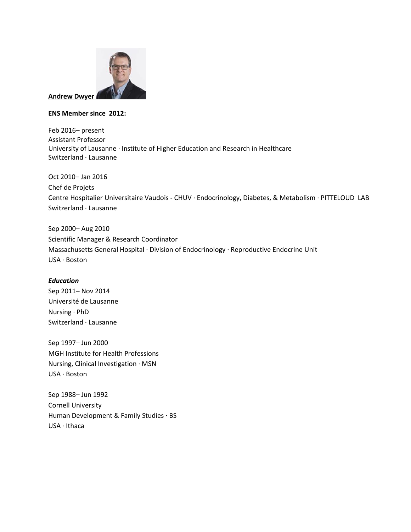

## **ENS Member since 2012:**

Feb 2016– present Assistant Professor University of Lausanne · Institute of Higher Education and Research in Healthcare Switzerland · Lausanne

Oct 2010– Jan 2016 Chef de Projets Centre Hospitalier Universitaire Vaudois - CHUV · Endocrinology, Diabetes, & Metabolism · PITTELOUD LAB Switzerland · Lausanne

Sep 2000– Aug 2010 Scientific Manager & Research Coordinator Massachusetts General Hospital · Division of Endocrinology · Reproductive Endocrine Unit USA · Boston

## *Education*

Sep 2011– Nov 2014 Université de Lausanne Nursing · PhD Switzerland · Lausanne

Sep 1997– Jun 2000 MGH Institute for Health Professions Nursing, Clinical Investigation · MSN USA · Boston

Sep 1988– Jun 1992 Cornell University Human Development & Family Studies · BS USA · Ithaca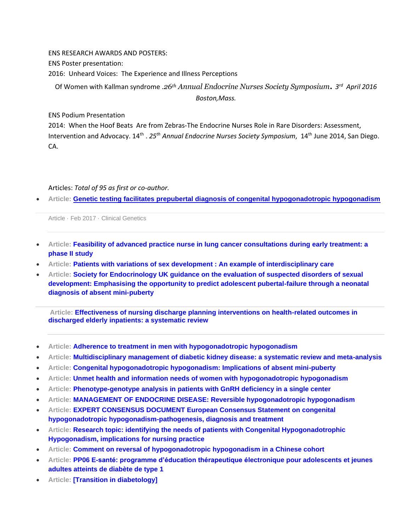ENS RESEARCH AWARDS AND POSTERS:

ENS Poster presentation:

2016: Unheard Voices: The Experience and Illness Perceptions

Of Women with Kallman syndrome .*26th Annual Endocrine Nurses Society Symposium. <sup>3</sup> rd April 2016 Boston,Mass.*

ENS Podium Presentation

2014: When the Hoof Beats Are from Zebras-The Endocrine Nurses Role in Rare Disorders: Assessment, Intervention and Advocacy. 14th . *25th Annual Endocrine Nurses Society Symposium*, 14th June 2014, San Diego. CA.

Articles: *Total of 95 as first or co-author.* 

• **Article: [Genetic testing facilitates prepubertal diagnosis of congenital hypogonadotropic hypogonadism](https://www.researchgate.net/publication/313739721_Genetic_testing_facilitates_prepubertal_diagnosis_of_congenital_hypogonadotropic_hypogonadism)**

Article · Feb 2017 · Clinical Genetics

- **Article: [Feasibility of advanced practice nurse in lung cancer consultations during early treatment: a](https://www.researchgate.net/publication/313408846_Feasibility_of_advanced_practice_nurse_in_lung_cancer_consultations_during_early_treatment_a_phase_II_study)  [phase II study](https://www.researchgate.net/publication/313408846_Feasibility_of_advanced_practice_nurse_in_lung_cancer_consultations_during_early_treatment_a_phase_II_study)**
- **Article: [Patients with variations of sex development : An example of interdisciplinary care](https://www.researchgate.net/publication/311225035_Patients_with_variations_of_sex_development_An_example_of_interdisciplinary_care)**
- **Article: [Society for Endocrinology UK guidance on the evaluation of suspected disorders of sexual](https://www.researchgate.net/publication/309227297_Society_for_Endocrinology_UK_guidance_on_the_evaluation_of_suspected_disorders_of_sexual_development_Emphasising_the_opportunity_to_predict_adolescent_pubertal-failure_through_a_neonatal_diagnosis_of_)  [development: Emphasising the opportunity to predict adolescent pubertal-failure through a neonatal](https://www.researchgate.net/publication/309227297_Society_for_Endocrinology_UK_guidance_on_the_evaluation_of_suspected_disorders_of_sexual_development_Emphasising_the_opportunity_to_predict_adolescent_pubertal-failure_through_a_neonatal_diagnosis_of_)  [diagnosis of absent mini-puberty](https://www.researchgate.net/publication/309227297_Society_for_Endocrinology_UK_guidance_on_the_evaluation_of_suspected_disorders_of_sexual_development_Emphasising_the_opportunity_to_predict_adolescent_pubertal-failure_through_a_neonatal_diagnosis_of_)**

**Article: [Effectiveness of nursing discharge planning interventions on health-related outcomes in](https://www.researchgate.net/publication/309270999_Effectiveness_of_nursing_discharge_planning_interventions_on_health-related_outcomes_in_discharged_elderly_inpatients_a_systematic_review)  [discharged elderly inpatients: a systematic review](https://www.researchgate.net/publication/309270999_Effectiveness_of_nursing_discharge_planning_interventions_on_health-related_outcomes_in_discharged_elderly_inpatients_a_systematic_review)**

- **Article: [Adherence to treatment in men with hypogonadotropic hypogonadism](https://www.researchgate.net/publication/308387135_Adherence_to_treatment_in_men_with_hypogonadotropic_hypogonadism)**
- **Article: [Multidisciplinary management of diabetic kidney disease: a systematic review and meta-analysis](https://www.researchgate.net/publication/306096389_Multidisciplinary_management_of_diabetic_kidney_disease_a_systematic_review_and_meta-analysis)**
- **Article: [Congenital hypogonadotropic hypogonadism: Implications of absent mini-puberty](https://www.researchgate.net/publication/303495964_Congenital_hypogonadotropic_hypogonadism_Implications_of_absent_mini-puberty)**
- **Article: [Unmet health and information needs of women with hypogonadotropic hypogonadism](https://www.researchgate.net/publication/303527307_Unmet_health_and_information_needs_of_women_with_hypogonadotropic_hypogonadism)**
- **Article: [Phenotype-genotype analysis in patients with GnRH deficiency in a single center](https://www.researchgate.net/publication/303527124_Phenotype-genotype_analysis_in_patients_with_GnRH_deficiency_in_a_single_center)**
- **Article: [MANAGEMENT OF ENDOCRINE DISEASE: Reversible hypogonadotropic hypogonadism](https://www.researchgate.net/publication/291390268_MANAGEMENT_OF_ENDOCRINE_DISEASE_Reversible_hypogonadotropic_hypogonadism)**
- **Article: [EXPERT CONSENSUS DOCUMENT European Consensus Statement on congenital](https://www.researchgate.net/publication/280329381_EXPERT_CONSENSUS_DOCUMENT_European_Consensus_Statement_on_congenital_hypogonadotropic_hypogonadism-pathogenesis_diagnosis_and_treatment)  [hypogonadotropic hypogonadism-pathogenesis, diagnosis and treatment](https://www.researchgate.net/publication/280329381_EXPERT_CONSENSUS_DOCUMENT_European_Consensus_Statement_on_congenital_hypogonadotropic_hypogonadism-pathogenesis_diagnosis_and_treatment)**
- **Article: [Research topic: identifying the needs of patients with Congenital Hypogonadotrophic](https://www.researchgate.net/publication/277355664_Research_topic_identifying_the_needs_of_patients_with_Congenital_Hypogonadotrophic_Hypogonadism_implications_for_nursing_practice)  [Hypogonadism, implications for nursing practice](https://www.researchgate.net/publication/277355664_Research_topic_identifying_the_needs_of_patients_with_Congenital_Hypogonadotrophic_Hypogonadism_implications_for_nursing_practice)**
- **Article: [Comment on reversal of hypogonadotropic hypogonadism in a Chinese cohort](https://www.researchgate.net/publication/274258106_Comment_on_reversal_of_hypogonadotropic_hypogonadism_in_a_Chinese_cohort)**
- **Article: [PP06 E-santé: programme d'éducation thérapeutique électronique pour adolescents et jeunes](https://www.researchgate.net/publication/277631151_PP06_E-sante_programme_d%27education_therapeutique_electronique_pour_adolescents_et_jeunes_adultes_atteints_de_diabete_de_type_1)  [adultes atteints de diabète de type 1](https://www.researchgate.net/publication/277631151_PP06_E-sante_programme_d%27education_therapeutique_electronique_pour_adolescents_et_jeunes_adultes_atteints_de_diabete_de_type_1)**
- **Article: [\[Transition in diabetology\]](https://www.researchgate.net/publication/275587876_Transition_in_diabetology)**